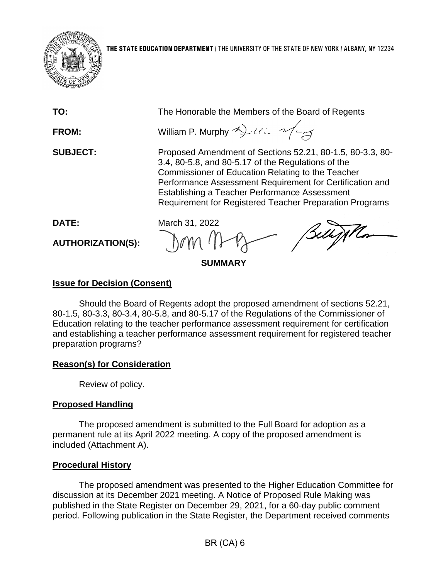

| TO:                               | The Honorable the Members of the Board of Regents                                                                                                                                                                                                                                                                                                   |
|-----------------------------------|-----------------------------------------------------------------------------------------------------------------------------------------------------------------------------------------------------------------------------------------------------------------------------------------------------------------------------------------------------|
| <b>FROM:</b>                      | William P. Murphy 2) 112 2/27                                                                                                                                                                                                                                                                                                                       |
| <b>SUBJECT:</b>                   | Proposed Amendment of Sections 52.21, 80-1.5, 80-3.3, 80-<br>3.4, 80-5.8, and 80-5.17 of the Regulations of the<br>Commissioner of Education Relating to the Teacher<br>Performance Assessment Requirement for Certification and<br>Establishing a Teacher Performance Assessment<br><b>Requirement for Registered Teacher Preparation Programs</b> |
| DATE:<br><b>AUTHORIZATION(S):</b> | March 31, 2022<br>Dom non Bellygia                                                                                                                                                                                                                                                                                                                  |

## **SUMMARY**

# **Issue for Decision (Consent)**

Should the Board of Regents adopt the proposed amendment of sections 52.21, 80-1.5, 80-3.3, 80-3.4, 80-5.8, and 80-5.17 of the Regulations of the Commissioner of Education relating to the teacher performance assessment requirement for certification and establishing a teacher performance assessment requirement for registered teacher preparation programs?

# **Reason(s) for Consideration**

Review of policy.

# **Proposed Handling**

The proposed amendment is submitted to the Full Board for adoption as a permanent rule at its April 2022 meeting. A copy of the proposed amendment is included (Attachment A).

## **Procedural History**

The proposed amendment was presented to the Higher Education Committee for discussion at its December 2021 meeting. A Notice of Proposed Rule Making was published in the State Register on December 29, 2021, for a 60-day public comment period. Following publication in the State Register, the Department received comments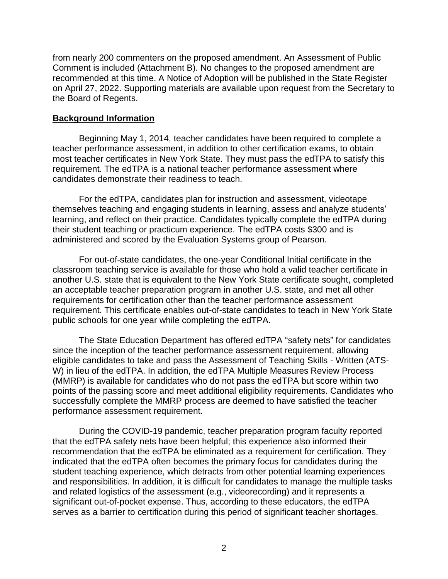from nearly 200 commenters on the proposed amendment. An Assessment of Public Comment is included (Attachment B). No changes to the proposed amendment are recommended at this time. A Notice of Adoption will be published in the State Register on April 27, 2022. Supporting materials are available upon request from the Secretary to the Board of Regents.

## **Background Information**

Beginning May 1, 2014, teacher candidates have been required to complete a teacher performance assessment, in addition to other certification exams, to obtain most teacher certificates in New York State. They must pass the edTPA to satisfy this requirement. The edTPA is a national teacher performance assessment where candidates demonstrate their readiness to teach.

For the edTPA, candidates plan for instruction and assessment, videotape themselves teaching and engaging students in learning, assess and analyze students' learning, and reflect on their practice. Candidates typically complete the edTPA during their student teaching or practicum experience. The edTPA costs \$300 and is administered and scored by the Evaluation Systems group of Pearson.

For out-of-state candidates, the one-year Conditional Initial certificate in the classroom teaching service is available for those who hold a valid teacher certificate in another U.S. state that is equivalent to the New York State certificate sought, completed an acceptable teacher preparation program in another U.S. state, and met all other requirements for certification other than the teacher performance assessment requirement. This certificate enables out-of-state candidates to teach in New York State public schools for one year while completing the edTPA.

The State Education Department has offered edTPA "safety nets" for candidates since the inception of the teacher performance assessment requirement, allowing eligible candidates to take and pass the Assessment of Teaching Skills - Written (ATS-W) in lieu of the edTPA. In addition, the edTPA Multiple Measures Review Process (MMRP) is available for candidates who do not pass the edTPA but score within two points of the passing score and meet additional eligibility requirements. Candidates who successfully complete the MMRP process are deemed to have satisfied the teacher performance assessment requirement.

During the COVID-19 pandemic, teacher preparation program faculty reported that the edTPA safety nets have been helpful; this experience also informed their recommendation that the edTPA be eliminated as a requirement for certification. They indicated that the edTPA often becomes the primary focus for candidates during the student teaching experience, which detracts from other potential learning experiences and responsibilities. In addition, it is difficult for candidates to manage the multiple tasks and related logistics of the assessment (e.g., videorecording) and it represents a significant out-of-pocket expense. Thus, according to these educators, the edTPA serves as a barrier to certification during this period of significant teacher shortages.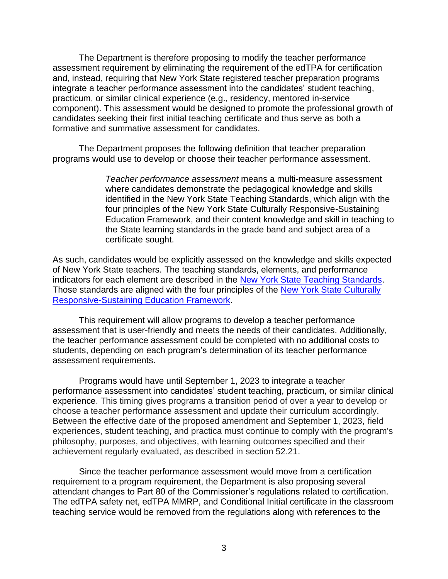The Department is therefore proposing to modify the teacher performance assessment requirement by eliminating the requirement of the edTPA for certification and, instead, requiring that New York State registered teacher preparation programs integrate a teacher performance assessment into the candidates' student teaching, practicum, or similar clinical experience (e.g., residency, mentored in-service component). This assessment would be designed to promote the professional growth of candidates seeking their first initial teaching certificate and thus serve as both a formative and summative assessment for candidates.

The Department proposes the following definition that teacher preparation programs would use to develop or choose their teacher performance assessment.

> *Teacher performance assessment* means a multi-measure assessment where candidates demonstrate the pedagogical knowledge and skills identified in the New York State Teaching Standards, which align with the four principles of the New York State Culturally Responsive-Sustaining Education Framework, and their content knowledge and skill in teaching to the State learning standards in the grade band and subject area of a certificate sought.

As such, candidates would be explicitly assessed on the knowledge and skills expected of New York State teachers. The teaching standards, elements, and performance indicators for each element are described in the [New York State Teaching Standards.](http://www.highered.nysed.gov/tcert/pdf/teachingstandards9122011.pdf) Those standards are aligned with the four principles of the [New York State Culturally](http://www.nysed.gov/common/nysed/files/programs/crs/culturally-responsive-sustaining-education-framework.pdf)  [Responsive-Sustaining Education Framework.](http://www.nysed.gov/common/nysed/files/programs/crs/culturally-responsive-sustaining-education-framework.pdf)

This requirement will allow programs to develop a teacher performance assessment that is user-friendly and meets the needs of their candidates. Additionally, the teacher performance assessment could be completed with no additional costs to students, depending on each program's determination of its teacher performance assessment requirements.

Programs would have until September 1, 2023 to integrate a teacher performance assessment into candidates' student teaching, practicum, or similar clinical experience. This timing gives programs a transition period of over a year to develop or choose a teacher performance assessment and update their curriculum accordingly. Between the effective date of the proposed amendment and September 1, 2023, field experiences, student teaching, and practica must continue to comply with the program's philosophy, purposes, and objectives, with learning outcomes specified and their achievement regularly evaluated, as described in section 52.21.

Since the teacher performance assessment would move from a certification requirement to a program requirement, the Department is also proposing several attendant changes to Part 80 of the Commissioner's regulations related to certification. The edTPA safety net, edTPA MMRP, and Conditional Initial certificate in the classroom teaching service would be removed from the regulations along with references to the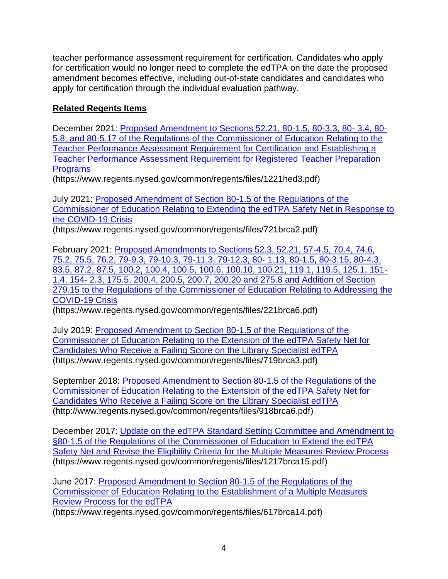teacher performance assessment requirement for certification. Candidates who apply for certification would no longer need to complete the edTPA on the date the proposed amendment becomes effective, including out-of-state candidates and candidates who apply for certification through the individual evaluation pathway.

# **Related Regents Items**

December 2021: [Proposed Amendment to Sections 52.21, 80-1.5, 80-3.3, 80-](https://www.regents.nysed.gov/common/regents/files/1221hed3.pdf) 3.4, 80- [5.8, and 80-5.17 of the Regulations of the Commissioner of Education Relating to the](https://www.regents.nysed.gov/common/regents/files/1221hed3.pdf)  [Teacher Performance Assessment Requirement for Certification and Establishing a](https://www.regents.nysed.gov/common/regents/files/1221hed3.pdf)  [Teacher Performance Assessment Requirement for Registered Teacher Preparation](https://www.regents.nysed.gov/common/regents/files/1221hed3.pdf)  [Programs](https://www.regents.nysed.gov/common/regents/files/1221hed3.pdf)

(https://www.regents.nysed.gov/common/regents/files/1221hed3.pdf)

July 2021: [Proposed Amendment of Section 80-1.5 of the Regulations of the](https://www.regents.nysed.gov/common/regents/files/721brca2.pdf)  [Commissioner of Education Relating to Extending the edTPA Safety Net in Response to](https://www.regents.nysed.gov/common/regents/files/721brca2.pdf)  [the COVID-19 Crisis](https://www.regents.nysed.gov/common/regents/files/721brca2.pdf)

(https://www.regents.nysed.gov/common/regents/files/721brca2.pdf)

February 2021: [Proposed Amendments to Sections 52.3, 52.21, 57-4.5, 70.4, 74.6,](https://www.regents.nysed.gov/common/regents/files/221brca6.pdf)  [75.2, 75.5, 76.2, 79-9.3, 79-10.3, 79-11.3, 79-12.3, 80-](https://www.regents.nysed.gov/common/regents/files/221brca6.pdf) 1.13, 80-1.5, 80-3.15, 80-4.3, [83.5, 87.2, 87.5, 100.2, 100.4, 100.5, 100.6, 100.10, 100.21, 119.1, 119.5, 125.1, 151-](https://www.regents.nysed.gov/common/regents/files/221brca6.pdf) 1.4, 154- [2.3, 175.5, 200.4, 200.5, 200.7, 200.20 and 275.8 and Addition of Section](https://www.regents.nysed.gov/common/regents/files/221brca6.pdf)  [279.15 to the Regulations of the Commissioner of Education Relating to Addressing the](https://www.regents.nysed.gov/common/regents/files/221brca6.pdf)  [COVID-19 Crisis](https://www.regents.nysed.gov/common/regents/files/221brca6.pdf)

(https://www.regents.nysed.gov/common/regents/files/221brca6.pdf)

July 2019: [Proposed Amendment to Section 80-1.5 of the Regulations of the](https://www.regents.nysed.gov/common/regents/files/719brca3.pdf)  [Commissioner of Education Relating to the Extension of the edTPA Safety Net for](https://www.regents.nysed.gov/common/regents/files/719brca3.pdf)  [Candidates Who Receive a Failing Score on the Library Specialist edTPA](https://www.regents.nysed.gov/common/regents/files/719brca3.pdf) (https://www.regents.nysed.gov/common/regents/files/719brca3.pdf)

September 2018: [Proposed Amendment to Section 80-1.5 of the Regulations of the](https://www.regents.nysed.gov/common/regents/files/918brca6.pdf)  [Commissioner of Education Relating to the Extension of the edTPA Safety Net for](https://www.regents.nysed.gov/common/regents/files/918brca6.pdf)  [Candidates Who Receive a Failing Score on the Library Specialist edTPA](https://www.regents.nysed.gov/common/regents/files/918brca6.pdf) (http://www.regents.nysed.gov/common/regents/files/918brca6.pdf)

December 2017: [Update on the edTPA Standard Setting Committee and Amendment to](https://www.regents.nysed.gov/common/regents/files/1217brca15.pdf)  [§80-1.5 of the Regulations of the Commissioner of Education to Extend the edTPA](https://www.regents.nysed.gov/common/regents/files/1217brca15.pdf)  [Safety Net and Revise the Eligibility Criteria for the Multiple Measures Review Process](https://www.regents.nysed.gov/common/regents/files/1217brca15.pdf) (https://www.regents.nysed.gov/common/regents/files/1217brca15.pdf)

June 2017: [Proposed Amendment to Section 80-1.5 of the Regulations of the](https://www.regents.nysed.gov/common/regents/files/617brca14.pdf)  [Commissioner of Education Relating to the Establishment of a Multiple Measures](https://www.regents.nysed.gov/common/regents/files/617brca14.pdf)  [Review Process for the edTPA](https://www.regents.nysed.gov/common/regents/files/617brca14.pdf)

(https://www.regents.nysed.gov/common/regents/files/617brca14.pdf)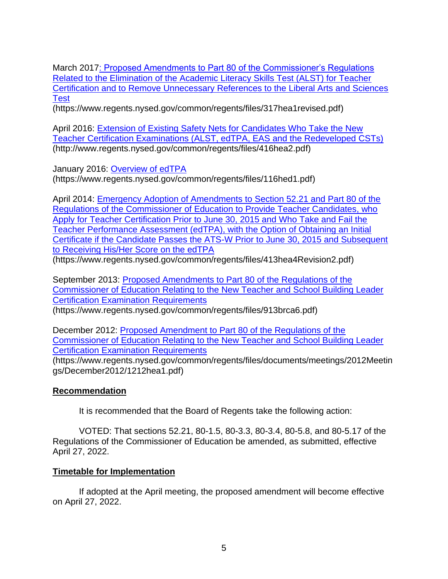March 2017: [Proposed Amendments to Part 80 of the Commissioner's Regulations](https://www.regents.nysed.gov/common/regents/files/317hea1revised.pdf)  [Related to the Elimination of the Academic Literacy Skills Test \(ALST\) for Teacher](https://www.regents.nysed.gov/common/regents/files/317hea1revised.pdf)  [Certification and to Remove Unnecessary References to the Liberal Arts and Sciences](https://www.regents.nysed.gov/common/regents/files/317hea1revised.pdf)  **[Test](https://www.regents.nysed.gov/common/regents/files/317hea1revised.pdf)** 

(https://www.regents.nysed.gov/common/regents/files/317hea1revised.pdf)

April 2016: [Extension of Existing Safety Nets for Candidates Who Take the New](https://www.regents.nysed.gov/common/regents/files/416hea2.pdf)  [Teacher Certification Examinations \(ALST, edTPA, EAS and the Redeveloped CSTs\)](https://www.regents.nysed.gov/common/regents/files/416hea2.pdf) (http://www.regents.nysed.gov/common/regents/files/416hea2.pdf)

January 2016: [Overview of edTPA](https://www.regents.nysed.gov/common/regents/files/116hed1.pdf)

(https://www.regents.nysed.gov/common/regents/files/116hed1.pdf)

April 2014: [Emergency Adoption of Amendments to Section 52.21 and Part 80 of the](https://www.regents.nysed.gov/common/regents/files/413hea4Revision2.pdf)  [Regulations of the Commissioner of Education to Provide Teacher Candidates, who](https://www.regents.nysed.gov/common/regents/files/413hea4Revision2.pdf)  [Apply for Teacher Certification Prior to June 30, 2015 and Who Take and Fail the](https://www.regents.nysed.gov/common/regents/files/413hea4Revision2.pdf)  [Teacher Performance Assessment \(edTPA\), with the Option of Obtaining an Initial](https://www.regents.nysed.gov/common/regents/files/413hea4Revision2.pdf)  [Certificate if the Candidate Passes the ATS-W Prior to June 30, 2015 and Subsequent](https://www.regents.nysed.gov/common/regents/files/413hea4Revision2.pdf)  [to Receiving His/Her Score on the edTPA](https://www.regents.nysed.gov/common/regents/files/413hea4Revision2.pdf) (https://www.regents.nysed.gov/common/regents/files/413hea4Revision2.pdf)

September 2013: [Proposed Amendments to Part 80 of the Regulations of the](https://www.regents.nysed.gov/common/regents/files/913brca6.pdf)  [Commissioner of Education Relating to the New Teacher and School Building Leader](https://www.regents.nysed.gov/common/regents/files/913brca6.pdf)  [Certification Examination Requirements](https://www.regents.nysed.gov/common/regents/files/913brca6.pdf) (https://www.regents.nysed.gov/common/regents/files/913brca6.pdf)

December 2012: [Proposed Amendment to Part 80 of the Regulations of the](https://www.regents.nysed.gov/common/regents/files/documents/meetings/2012Meetings/December2012/1212hea1.pdf)  [Commissioner of Education Relating to the New Teacher and School Building Leader](https://www.regents.nysed.gov/common/regents/files/documents/meetings/2012Meetings/December2012/1212hea1.pdf)  [Certification Examination Requirements](https://www.regents.nysed.gov/common/regents/files/documents/meetings/2012Meetings/December2012/1212hea1.pdf)

(https://www.regents.nysed.gov/common/regents/files/documents/meetings/2012Meetin gs/December2012/1212hea1.pdf)

## **Recommendation**

It is recommended that the Board of Regents take the following action:

VOTED: That sections 52.21, 80-1.5, 80-3.3, 80-3.4, 80-5.8, and 80-5.17 of the Regulations of the Commissioner of Education be amended, as submitted, effective April 27, 2022.

## **Timetable for Implementation**

If adopted at the April meeting, the proposed amendment will become effective on April 27, 2022.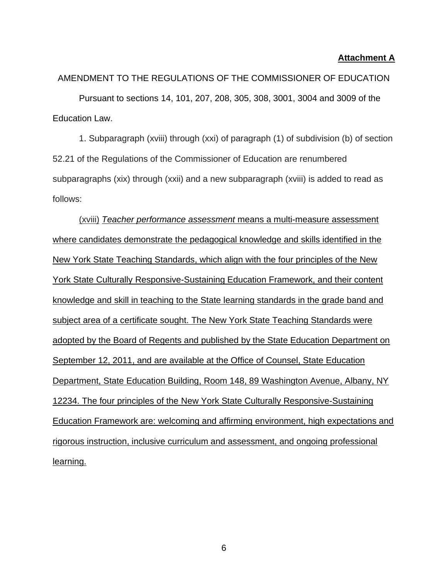### **Attachment A**

AMENDMENT TO THE REGULATIONS OF THE COMMISSIONER OF EDUCATION Pursuant to sections 14, 101, 207, 208, 305, 308, 3001, 3004 and 3009 of the Education Law.

1. Subparagraph (xviii) through (xxi) of paragraph (1) of subdivision (b) of section 52.21 of the Regulations of the Commissioner of Education are renumbered subparagraphs (xix) through (xxii) and a new subparagraph (xviii) is added to read as follows:

(xviii) *Teacher performance assessment* means a multi-measure assessment where candidates demonstrate the pedagogical knowledge and skills identified in the New York State Teaching Standards, which align with the four principles of the New York State Culturally Responsive-Sustaining Education Framework, and their content knowledge and skill in teaching to the State learning standards in the grade band and subject area of a certificate sought. The New York State Teaching Standards were adopted by the Board of Regents and published by the State Education Department on September 12, 2011, and are available at the Office of Counsel, State Education Department, State Education Building, Room 148, 89 Washington Avenue, Albany, NY 12234. The four principles of the New York State Culturally Responsive-Sustaining Education Framework are: welcoming and affirming environment, high expectations and rigorous instruction, inclusive curriculum and assessment, and ongoing professional learning.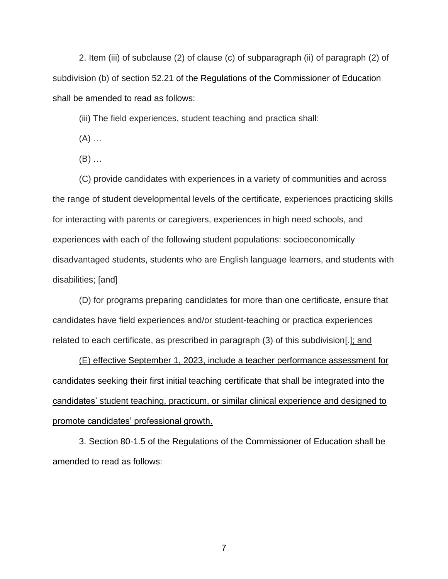2. Item (iii) of subclause (2) of clause (c) of subparagraph (ii) of paragraph (2) of subdivision (b) of section 52.21 of the Regulations of the Commissioner of Education shall be amended to read as follows:

(iii) The field experiences, student teaching and practica shall:

 $(A)$  ...

(B) …

(C) provide candidates with experiences in a variety of communities and across the range of student developmental levels of the certificate, experiences practicing skills for interacting with parents or caregivers, experiences in high need schools, and experiences with each of the following student populations: socioeconomically disadvantaged students, students who are English language learners, and students with disabilities; [and]

(D) for programs preparing candidates for more than one certificate, ensure that candidates have field experiences and/or student-teaching or practica experiences related to each certificate, as prescribed in paragraph (3) of this subdivision[.]; and

(E) effective September 1, 2023, include a teacher performance assessment for candidates seeking their first initial teaching certificate that shall be integrated into the candidates' student teaching, practicum, or similar clinical experience and designed to promote candidates' professional growth.

3. Section 80-1.5 of the Regulations of the Commissioner of Education shall be amended to read as follows: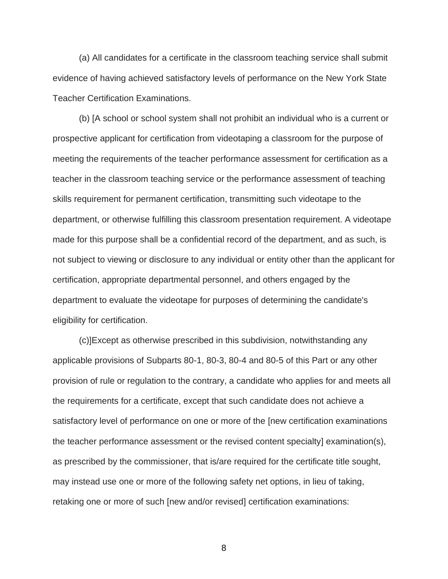(a) All candidates for a certificate in the classroom teaching service shall submit evidence of having achieved satisfactory levels of performance on the New York State Teacher Certification Examinations.

(b) [A school or school system shall not prohibit an individual who is a current or prospective applicant for certification from videotaping a classroom for the purpose of meeting the requirements of the teacher performance assessment for certification as a teacher in the classroom teaching service or the performance assessment of teaching skills requirement for permanent certification, transmitting such videotape to the department, or otherwise fulfilling this classroom presentation requirement. A videotape made for this purpose shall be a confidential record of the department, and as such, is not subject to viewing or disclosure to any individual or entity other than the applicant for certification, appropriate departmental personnel, and others engaged by the department to evaluate the videotape for purposes of determining the candidate's eligibility for certification.

(c)]Except as otherwise prescribed in this subdivision, notwithstanding any applicable provisions of Subparts 80-1, 80-3, 80-4 and 80-5 of this Part or any other provision of rule or regulation to the contrary, a candidate who applies for and meets all the requirements for a certificate, except that such candidate does not achieve a satisfactory level of performance on one or more of the [new certification examinations the teacher performance assessment or the revised content specialty] examination(s), as prescribed by the commissioner, that is/are required for the certificate title sought, may instead use one or more of the following safety net options, in lieu of taking, retaking one or more of such [new and/or revised] certification examinations: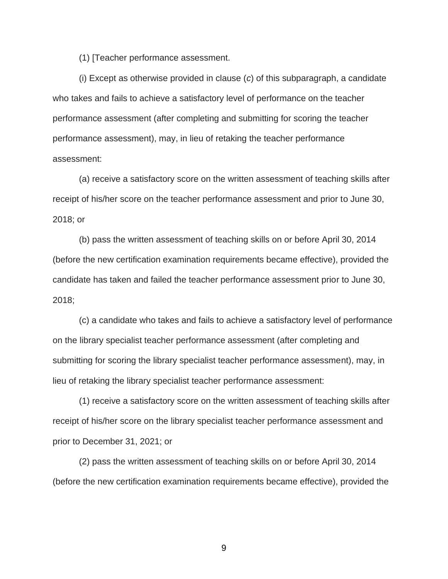(1) [Teacher performance assessment.

(i) Except as otherwise provided in clause (*c*) of this subparagraph, a candidate who takes and fails to achieve a satisfactory level of performance on the teacher performance assessment (after completing and submitting for scoring the teacher performance assessment), may, in lieu of retaking the teacher performance assessment:

(a) receive a satisfactory score on the written assessment of teaching skills after receipt of his/her score on the teacher performance assessment and prior to June 30, 2018; or

(b) pass the written assessment of teaching skills on or before April 30, 2014 (before the new certification examination requirements became effective), provided the candidate has taken and failed the teacher performance assessment prior to June 30, 2018;

(c) a candidate who takes and fails to achieve a satisfactory level of performance on the library specialist teacher performance assessment (after completing and submitting for scoring the library specialist teacher performance assessment), may, in lieu of retaking the library specialist teacher performance assessment:

(1) receive a satisfactory score on the written assessment of teaching skills after receipt of his/her score on the library specialist teacher performance assessment and prior to December 31, 2021; or

(2) pass the written assessment of teaching skills on or before April 30, 2014 (before the new certification examination requirements became effective), provided the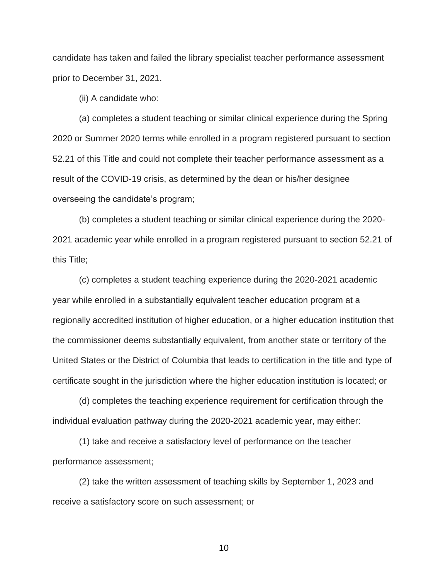candidate has taken and failed the library specialist teacher performance assessment prior to December 31, 2021.

(ii) A candidate who:

(a) completes a student teaching or similar clinical experience during the Spring 2020 or Summer 2020 terms while enrolled in a program registered pursuant to section 52.21 of this Title and could not complete their teacher performance assessment as a result of the COVID-19 crisis, as determined by the dean or his/her designee overseeing the candidate's program;

(b) completes a student teaching or similar clinical experience during the 2020- 2021 academic year while enrolled in a program registered pursuant to section 52.21 of this Title;

(c) completes a student teaching experience during the 2020-2021 academic year while enrolled in a substantially equivalent teacher education program at a regionally accredited institution of higher education, or a higher education institution that the commissioner deems substantially equivalent, from another state or territory of the United States or the District of Columbia that leads to certification in the title and type of certificate sought in the jurisdiction where the higher education institution is located; or

(d) completes the teaching experience requirement for certification through the individual evaluation pathway during the 2020-2021 academic year, may either:

(1) take and receive a satisfactory level of performance on the teacher performance assessment;

(2) take the written assessment of teaching skills by September 1, 2023 and receive a satisfactory score on such assessment; or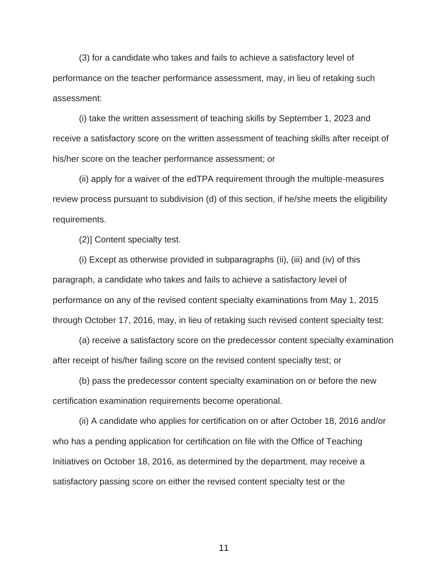(3) for a candidate who takes and fails to achieve a satisfactory level of performance on the teacher performance assessment, may, in lieu of retaking such assessment:

(i) take the written assessment of teaching skills by September 1, 2023 and receive a satisfactory score on the written assessment of teaching skills after receipt of his/her score on the teacher performance assessment; or

(ii) apply for a waiver of the edTPA requirement through the multiple-measures review process pursuant to subdivision (d) of this section, if he/she meets the eligibility requirements.

(2)] Content specialty test.

(i) Except as otherwise provided in subparagraphs (ii), (iii) and (iv) of this paragraph, a candidate who takes and fails to achieve a satisfactory level of performance on any of the revised content specialty examinations from May 1, 2015 through October 17, 2016, may, in lieu of retaking such revised content specialty test:

(a) receive a satisfactory score on the predecessor content specialty examination after receipt of his/her failing score on the revised content specialty test; or

(b) pass the predecessor content specialty examination on or before the new certification examination requirements become operational.

(ii) A candidate who applies for certification on or after October 18, 2016 and/or who has a pending application for certification on file with the Office of Teaching Initiatives on October 18, 2016, as determined by the department, may receive a satisfactory passing score on either the revised content specialty test or the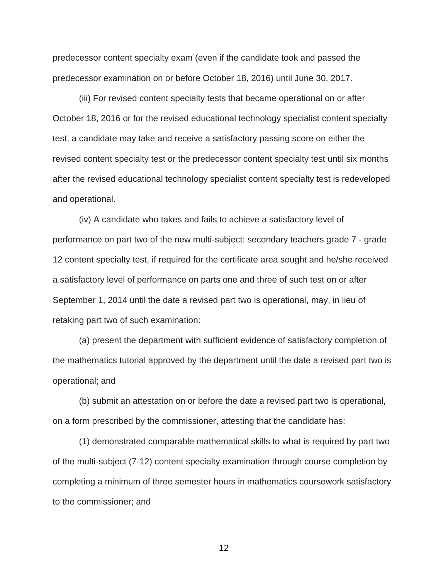predecessor content specialty exam (even if the candidate took and passed the predecessor examination on or before October 18, 2016) until June 30, 2017.

(iii) For revised content specialty tests that became operational on or after October 18, 2016 or for the revised educational technology specialist content specialty test, a candidate may take and receive a satisfactory passing score on either the revised content specialty test or the predecessor content specialty test until six months after the revised educational technology specialist content specialty test is redeveloped and operational.

(iv) A candidate who takes and fails to achieve a satisfactory level of performance on part two of the new multi-subject: secondary teachers grade 7 - grade 12 content specialty test, if required for the certificate area sought and he/she received a satisfactory level of performance on parts one and three of such test on or after September 1, 2014 until the date a revised part two is operational, may, in lieu of retaking part two of such examination:

(a) present the department with sufficient evidence of satisfactory completion of the mathematics tutorial approved by the department until the date a revised part two is operational; and

(b) submit an attestation on or before the date a revised part two is operational, on a form prescribed by the commissioner, attesting that the candidate has:

(1) demonstrated comparable mathematical skills to what is required by part two of the multi-subject (7-12) content specialty examination through course completion by completing a minimum of three semester hours in mathematics coursework satisfactory to the commissioner; and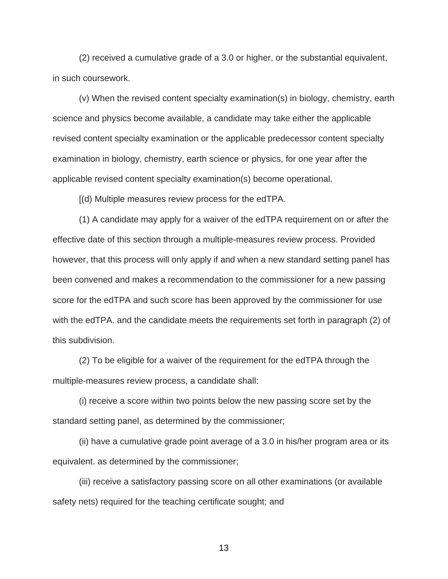(2) received a cumulative grade of a 3.0 or higher, or the substantial equivalent, in such coursework.

(v) When the revised content specialty examination(s) in biology, chemistry, earth science and physics become available, a candidate may take either the applicable revised content specialty examination or the applicable predecessor content specialty examination in biology, chemistry, earth science or physics, for one year after the applicable revised content specialty examination(s) become operational.

[(d) Multiple measures review process for the edTPA.

(1) A candidate may apply for a waiver of the edTPA requirement on or after the effective date of this section through a multiple-measures review process. Provided however, that this process will only apply if and when a new standard setting panel has been convened and makes a recommendation to the commissioner for a new passing score for the edTPA and such score has been approved by the commissioner for use with the edTPA. and the candidate meets the requirements set forth in paragraph (2) of this subdivision.

(2) To be eligible for a waiver of the requirement for the edTPA through the multiple-measures review process, a candidate shall:

(i) receive a score within two points below the new passing score set by the standard setting panel, as determined by the commissioner;

(ii) have a cumulative grade point average of a 3.0 in his/her program area or its equivalent. as determined by the commissioner;

(iii) receive a satisfactory passing score on all other examinations (or available safety nets) required for the teaching certificate sought; and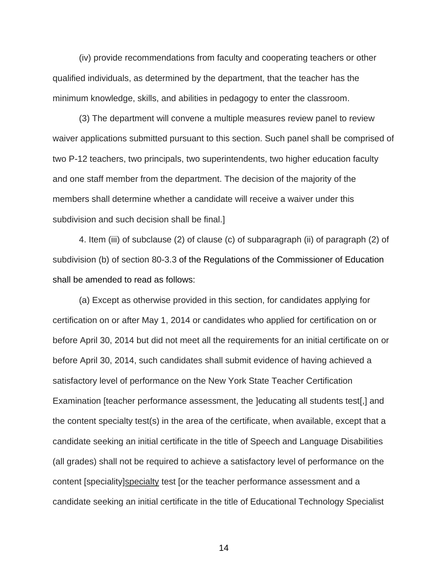(iv) provide recommendations from faculty and cooperating teachers or other qualified individuals, as determined by the department, that the teacher has the minimum knowledge, skills, and abilities in pedagogy to enter the classroom.

(3) The department will convene a multiple measures review panel to review waiver applications submitted pursuant to this section. Such panel shall be comprised of two P-12 teachers, two principals, two superintendents, two higher education faculty and one staff member from the department. The decision of the majority of the members shall determine whether a candidate will receive a waiver under this subdivision and such decision shall be final.]

4. Item (iii) of subclause (2) of clause (c) of subparagraph (ii) of paragraph (2) of subdivision (b) of section 80-3.3 of the Regulations of the Commissioner of Education shall be amended to read as follows:

(a) Except as otherwise provided in this section, for candidates applying for certification on or after May 1, 2014 or candidates who applied for certification on or before April 30, 2014 but did not meet all the requirements for an initial certificate on or before April 30, 2014, such candidates shall submit evidence of having achieved a satisfactory level of performance on the New York State Teacher Certification Examination [teacher performance assessment, the ]educating all students test[,] and the content specialty test(s) in the area of the certificate, when available, except that a candidate seeking an initial certificate in the title of Speech and Language Disabilities (all grades) shall not be required to achieve a satisfactory level of performance on the content [speciality]specialty test [or the teacher performance assessment and a candidate seeking an initial certificate in the title of Educational Technology Specialist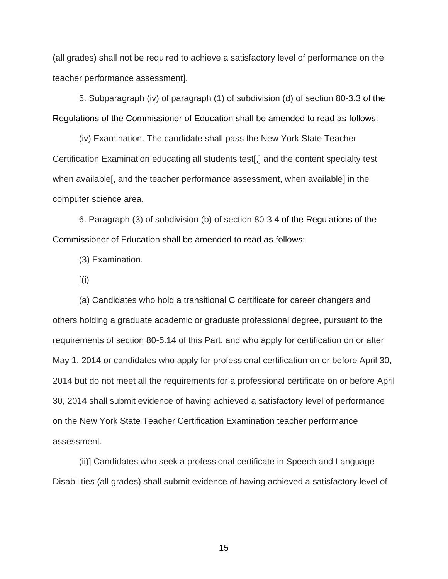(all grades) shall not be required to achieve a satisfactory level of performance on the teacher performance assessment].

5. Subparagraph (iv) of paragraph (1) of subdivision (d) of section 80-3.3 of the Regulations of the Commissioner of Education shall be amended to read as follows:

(iv) Examination. The candidate shall pass the New York State Teacher Certification Examination educating all students test[,] and the content specialty test when available[, and the teacher performance assessment, when available] in the computer science area.

6. Paragraph (3) of subdivision (b) of section 80-3.4 of the Regulations of the Commissioner of Education shall be amended to read as follows:

(3) Examination.

 $[(i)]$ 

(a) Candidates who hold a transitional C certificate for career changers and others holding a graduate academic or graduate professional degree, pursuant to the requirements of section 80-5.14 of this Part, and who apply for certification on or after May 1, 2014 or candidates who apply for professional certification on or before April 30, 2014 but do not meet all the requirements for a professional certificate on or before April 30, 2014 shall submit evidence of having achieved a satisfactory level of performance on the New York State Teacher Certification Examination teacher performance assessment.

(ii)] Candidates who seek a professional certificate in Speech and Language Disabilities (all grades) shall submit evidence of having achieved a satisfactory level of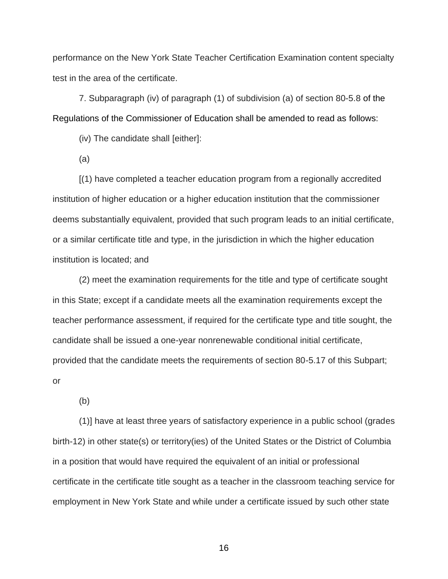performance on the New York State Teacher Certification Examination content specialty test in the area of the certificate.

7. Subparagraph (iv) of paragraph (1) of subdivision (a) of section 80-5.8 of the Regulations of the Commissioner of Education shall be amended to read as follows:

(iv) The candidate shall [either]:

(a)

[(1) have completed a teacher education program from a regionally accredited institution of higher education or a higher education institution that the commissioner deems substantially equivalent, provided that such program leads to an initial certificate, or a similar certificate title and type, in the jurisdiction in which the higher education institution is located; and

(2) meet the examination requirements for the title and type of certificate sought in this State; except if a candidate meets all the examination requirements except the teacher performance assessment, if required for the certificate type and title sought, the candidate shall be issued a one-year nonrenewable conditional initial certificate, provided that the candidate meets the requirements of section 80-5.17 of this Subpart; or

(b)

(1)] have at least three years of satisfactory experience in a public school (grades birth-12) in other state(s) or territory(ies) of the United States or the District of Columbia in a position that would have required the equivalent of an initial or professional certificate in the certificate title sought as a teacher in the classroom teaching service for employment in New York State and while under a certificate issued by such other state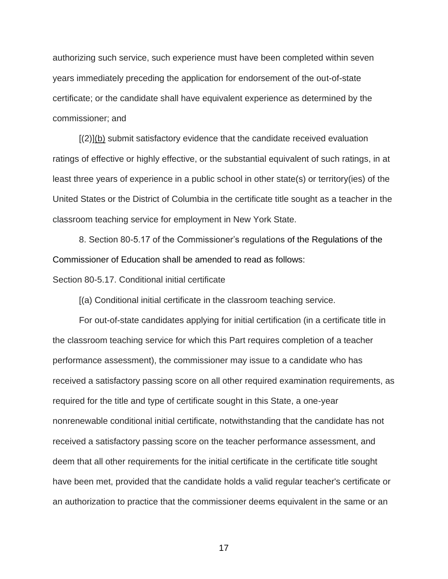authorizing such service, such experience must have been completed within seven years immediately preceding the application for endorsement of the out-of-state certificate; or the candidate shall have equivalent experience as determined by the commissioner; and

[(2)](b) submit satisfactory evidence that the candidate received evaluation ratings of effective or highly effective, or the substantial equivalent of such ratings, in at least three years of experience in a public school in other state(s) or territory(ies) of the United States or the District of Columbia in the certificate title sought as a teacher in the classroom teaching service for employment in New York State.

8. Section 80-5.17 of the Commissioner's regulations of the Regulations of the Commissioner of Education shall be amended to read as follows:

Section 80-5.17. Conditional initial certificate

[(a) Conditional initial certificate in the classroom teaching service.

For out-of-state candidates applying for initial certification (in a certificate title in the classroom teaching service for which this Part requires completion of a teacher performance assessment), the commissioner may issue to a candidate who has received a satisfactory passing score on all other required examination requirements, as required for the title and type of certificate sought in this State, a one-year nonrenewable conditional initial certificate, notwithstanding that the candidate has not received a satisfactory passing score on the teacher performance assessment, and deem that all other requirements for the initial certificate in the certificate title sought have been met, provided that the candidate holds a valid regular teacher's certificate or an authorization to practice that the commissioner deems equivalent in the same or an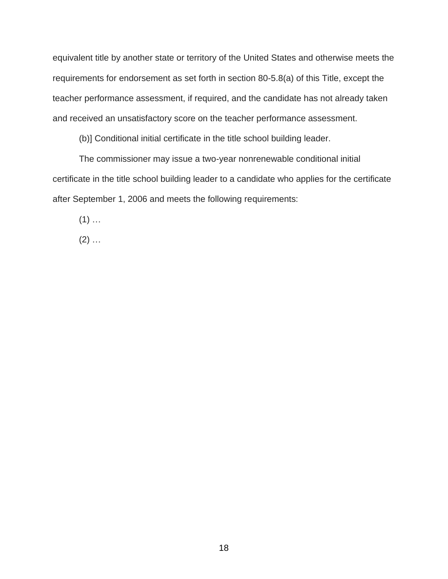equivalent title by another state or territory of the United States and otherwise meets the requirements for endorsement as set forth in section 80-5.8(a) of this Title, except the teacher performance assessment, if required, and the candidate has not already taken and received an unsatisfactory score on the teacher performance assessment.

(b)] Conditional initial certificate in the title school building leader.

The commissioner may issue a two-year nonrenewable conditional initial certificate in the title school building leader to a candidate who applies for the certificate after September 1, 2006 and meets the following requirements:

 $(1)$  ...

 $(2)$  ...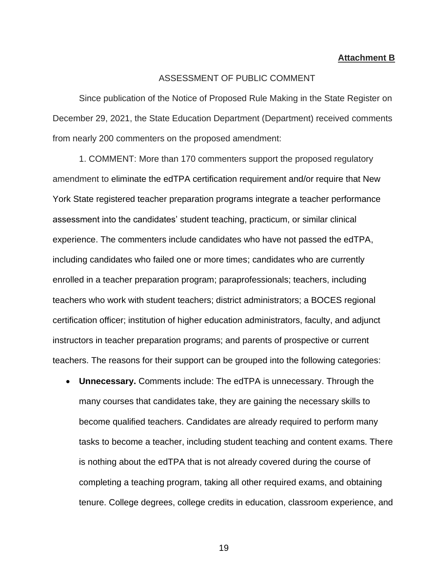#### **Attachment B**

### ASSESSMENT OF PUBLIC COMMENT

Since publication of the Notice of Proposed Rule Making in the State Register on December 29, 2021, the State Education Department (Department) received comments from nearly 200 commenters on the proposed amendment:

1. COMMENT: More than 170 commenters support the proposed regulatory amendment to eliminate the edTPA certification requirement and/or require that New York State registered teacher preparation programs integrate a teacher performance assessment into the candidates' student teaching, practicum, or similar clinical experience. The commenters include candidates who have not passed the edTPA, including candidates who failed one or more times; candidates who are currently enrolled in a teacher preparation program; paraprofessionals; teachers, including teachers who work with student teachers; district administrators; a BOCES regional certification officer; institution of higher education administrators, faculty, and adjunct instructors in teacher preparation programs; and parents of prospective or current teachers. The reasons for their support can be grouped into the following categories:

• **Unnecessary.** Comments include: The edTPA is unnecessary. Through the many courses that candidates take, they are gaining the necessary skills to become qualified teachers. Candidates are already required to perform many tasks to become a teacher, including student teaching and content exams. There is nothing about the edTPA that is not already covered during the course of completing a teaching program, taking all other required exams, and obtaining tenure. College degrees, college credits in education, classroom experience, and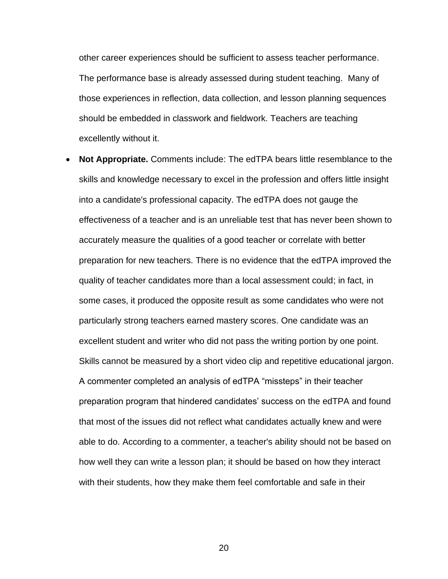other career experiences should be sufficient to assess teacher performance. The performance base is already assessed during student teaching. Many of those experiences in reflection, data collection, and lesson planning sequences should be embedded in classwork and fieldwork. Teachers are teaching excellently without it.

• **Not Appropriate.** Comments include: The edTPA bears little resemblance to the skills and knowledge necessary to excel in the profession and offers little insight into a candidate's professional capacity. The edTPA does not gauge the effectiveness of a teacher and is an unreliable test that has never been shown to accurately measure the qualities of a good teacher or correlate with better preparation for new teachers. There is no evidence that the edTPA improved the quality of teacher candidates more than a local assessment could; in fact, in some cases, it produced the opposite result as some candidates who were not particularly strong teachers earned mastery scores. One candidate was an excellent student and writer who did not pass the writing portion by one point. Skills cannot be measured by a short video clip and repetitive educational jargon. A commenter completed an analysis of edTPA "missteps" in their teacher preparation program that hindered candidates' success on the edTPA and found that most of the issues did not reflect what candidates actually knew and were able to do. According to a commenter, a teacher's ability should not be based on how well they can write a lesson plan; it should be based on how they interact with their students, how they make them feel comfortable and safe in their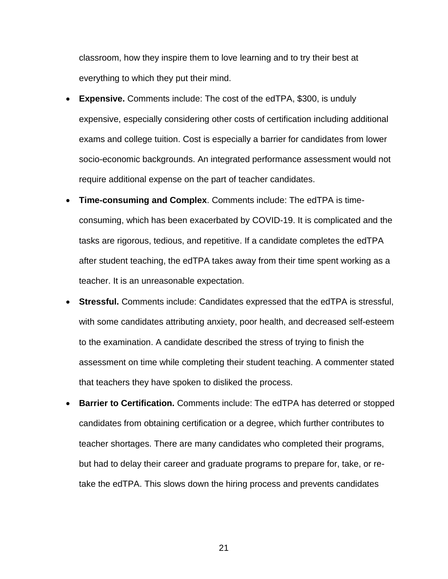classroom, how they inspire them to love learning and to try their best at everything to which they put their mind.

- **Expensive.** Comments include: The cost of the edTPA, \$300, is unduly expensive, especially considering other costs of certification including additional exams and college tuition. Cost is especially a barrier for candidates from lower socio-economic backgrounds. An integrated performance assessment would not require additional expense on the part of teacher candidates.
- **Time-consuming and Complex**. Comments include: The edTPA is timeconsuming, which has been exacerbated by COVID-19. It is complicated and the tasks are rigorous, tedious, and repetitive. If a candidate completes the edTPA after student teaching, the edTPA takes away from their time spent working as a teacher. It is an unreasonable expectation.
- **Stressful.** Comments include: Candidates expressed that the edTPA is stressful, with some candidates attributing anxiety, poor health, and decreased self-esteem to the examination. A candidate described the stress of trying to finish the assessment on time while completing their student teaching. A commenter stated that teachers they have spoken to disliked the process.
- **Barrier to Certification.** Comments include: The edTPA has deterred or stopped candidates from obtaining certification or a degree, which further contributes to teacher shortages. There are many candidates who completed their programs, but had to delay their career and graduate programs to prepare for, take, or retake the edTPA. This slows down the hiring process and prevents candidates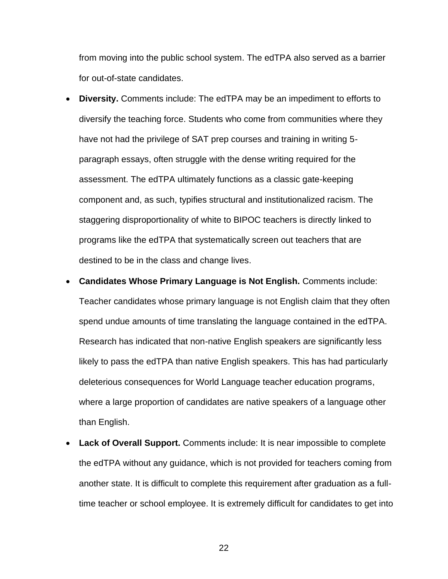from moving into the public school system. The edTPA also served as a barrier for out-of-state candidates.

- **Diversity.** Comments include: The edTPA may be an impediment to efforts to diversify the teaching force. Students who come from communities where they have not had the privilege of SAT prep courses and training in writing 5 paragraph essays, often struggle with the dense writing required for the assessment. The edTPA ultimately functions as a classic gate-keeping component and, as such, typifies structural and institutionalized racism. The staggering disproportionality of white to BIPOC teachers is directly linked to programs like the edTPA that systematically screen out teachers that are destined to be in the class and change lives.
- **Candidates Whose Primary Language is Not English.** Comments include: Teacher candidates whose primary language is not English claim that they often spend undue amounts of time translating the language contained in the edTPA. Research has indicated that non-native English speakers are significantly less likely to pass the edTPA than native English speakers. This has had particularly deleterious consequences for World Language teacher education programs, where a large proportion of candidates are native speakers of a language other than English.
- **Lack of Overall Support.** Comments include: It is near impossible to complete the edTPA without any guidance, which is not provided for teachers coming from another state. It is difficult to complete this requirement after graduation as a fulltime teacher or school employee. It is extremely difficult for candidates to get into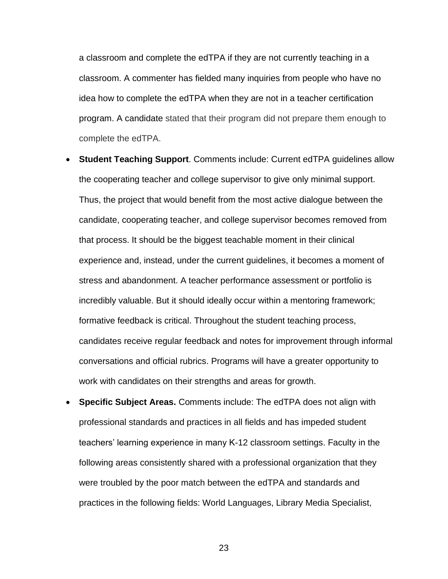a classroom and complete the edTPA if they are not currently teaching in a classroom. A commenter has fielded many inquiries from people who have no idea how to complete the edTPA when they are not in a teacher certification program. A candidate stated that their program did not prepare them enough to complete the edTPA.

- **Student Teaching Support**. Comments include: Current edTPA guidelines allow the cooperating teacher and college supervisor to give only minimal support. Thus, the project that would benefit from the most active dialogue between the candidate, cooperating teacher, and college supervisor becomes removed from that process. It should be the biggest teachable moment in their clinical experience and, instead, under the current guidelines, it becomes a moment of stress and abandonment. A teacher performance assessment or portfolio is incredibly valuable. But it should ideally occur within a mentoring framework; formative feedback is critical. Throughout the student teaching process, candidates receive regular feedback and notes for improvement through informal conversations and official rubrics. Programs will have a greater opportunity to work with candidates on their strengths and areas for growth.
- **Specific Subject Areas.** Comments include: The edTPA does not align with professional standards and practices in all fields and has impeded student teachers' learning experience in many K-12 classroom settings. Faculty in the following areas consistently shared with a professional organization that they were troubled by the poor match between the edTPA and standards and practices in the following fields: World Languages, Library Media Specialist,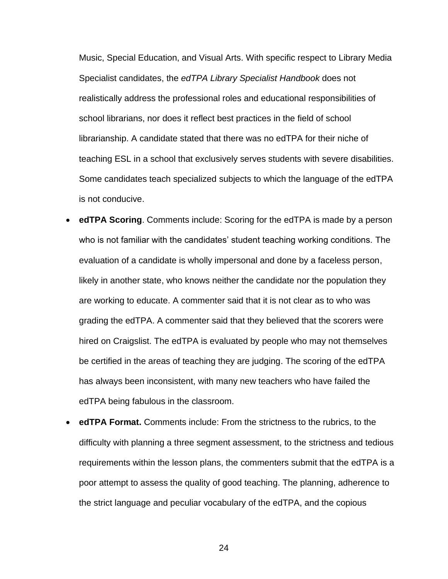Music, Special Education, and Visual Arts. With specific respect to Library Media Specialist candidates, the *edTPA Library Specialist Handbook* does not realistically address the professional roles and educational responsibilities of school librarians, nor does it reflect best practices in the field of school librarianship. A candidate stated that there was no edTPA for their niche of teaching ESL in a school that exclusively serves students with severe disabilities. Some candidates teach specialized subjects to which the language of the edTPA is not conducive.

- **edTPA Scoring**. Comments include: Scoring for the edTPA is made by a person who is not familiar with the candidates' student teaching working conditions. The evaluation of a candidate is wholly impersonal and done by a faceless person, likely in another state, who knows neither the candidate nor the population they are working to educate. A commenter said that it is not clear as to who was grading the edTPA. A commenter said that they believed that the scorers were hired on Craigslist. The edTPA is evaluated by people who may not themselves be certified in the areas of teaching they are judging. The scoring of the edTPA has always been inconsistent, with many new teachers who have failed the edTPA being fabulous in the classroom.
- **edTPA Format.** Comments include: From the strictness to the rubrics, to the difficulty with planning a three segment assessment, to the strictness and tedious requirements within the lesson plans, the commenters submit that the edTPA is a poor attempt to assess the quality of good teaching. The planning, adherence to the strict language and peculiar vocabulary of the edTPA, and the copious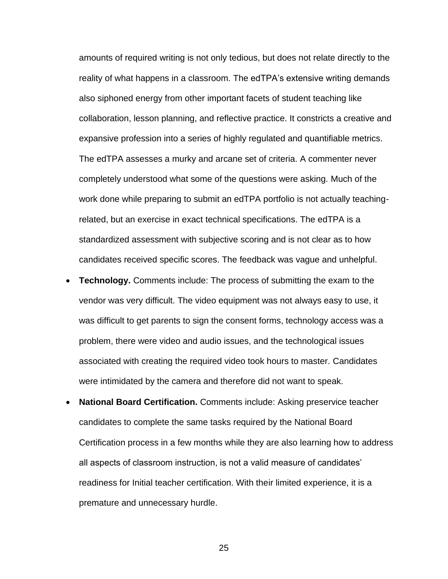amounts of required writing is not only tedious, but does not relate directly to the reality of what happens in a classroom. The edTPA's extensive writing demands also siphoned energy from other important facets of student teaching like collaboration, lesson planning, and reflective practice. It constricts a creative and expansive profession into a series of highly regulated and quantifiable metrics. The edTPA assesses a murky and arcane set of criteria. A commenter never completely understood what some of the questions were asking. Much of the work done while preparing to submit an edTPA portfolio is not actually teachingrelated, but an exercise in exact technical specifications. The edTPA is a standardized assessment with subjective scoring and is not clear as to how candidates received specific scores. The feedback was vague and unhelpful.

- **Technology.** Comments include: The process of submitting the exam to the vendor was very difficult. The video equipment was not always easy to use, it was difficult to get parents to sign the consent forms, technology access was a problem, there were video and audio issues, and the technological issues associated with creating the required video took hours to master. Candidates were intimidated by the camera and therefore did not want to speak.
- **National Board Certification.** Comments include: Asking preservice teacher candidates to complete the same tasks required by the National Board Certification process in a few months while they are also learning how to address all aspects of classroom instruction, is not a valid measure of candidates' readiness for Initial teacher certification. With their limited experience, it is a premature and unnecessary hurdle.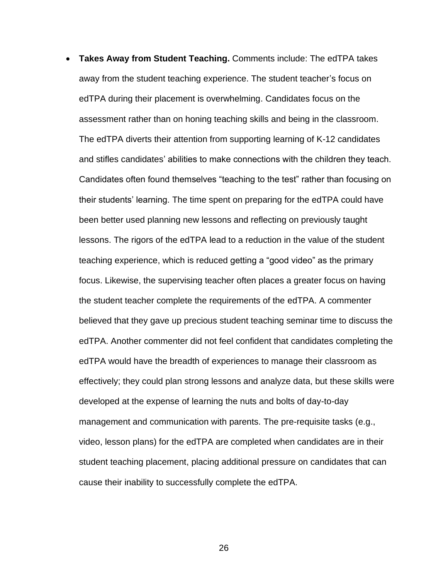• **Takes Away from Student Teaching.** Comments include: The edTPA takes away from the student teaching experience. The student teacher's focus on edTPA during their placement is overwhelming. Candidates focus on the assessment rather than on honing teaching skills and being in the classroom. The edTPA diverts their attention from supporting learning of K-12 candidates and stifles candidates' abilities to make connections with the children they teach. Candidates often found themselves "teaching to the test" rather than focusing on their students' learning. The time spent on preparing for the edTPA could have been better used planning new lessons and reflecting on previously taught lessons. The rigors of the edTPA lead to a reduction in the value of the student teaching experience, which is reduced getting a "good video" as the primary focus. Likewise, the supervising teacher often places a greater focus on having the student teacher complete the requirements of the edTPA. A commenter believed that they gave up precious student teaching seminar time to discuss the edTPA. Another commenter did not feel confident that candidates completing the edTPA would have the breadth of experiences to manage their classroom as effectively; they could plan strong lessons and analyze data, but these skills were developed at the expense of learning the nuts and bolts of day-to-day management and communication with parents. The pre-requisite tasks (e.g., video, lesson plans) for the edTPA are completed when candidates are in their student teaching placement, placing additional pressure on candidates that can cause their inability to successfully complete the edTPA.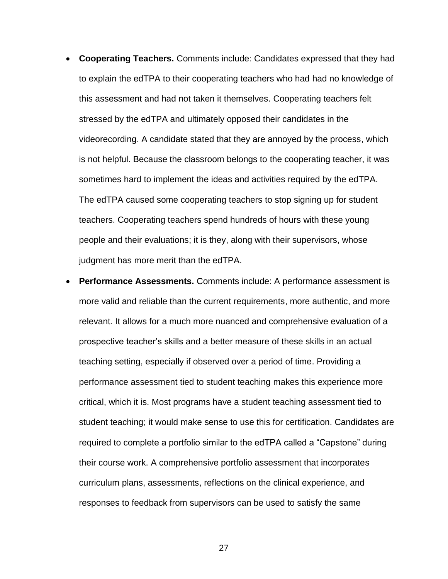- **Cooperating Teachers.** Comments include: Candidates expressed that they had to explain the edTPA to their cooperating teachers who had had no knowledge of this assessment and had not taken it themselves. Cooperating teachers felt stressed by the edTPA and ultimately opposed their candidates in the videorecording. A candidate stated that they are annoyed by the process, which is not helpful. Because the classroom belongs to the cooperating teacher, it was sometimes hard to implement the ideas and activities required by the edTPA. The edTPA caused some cooperating teachers to stop signing up for student teachers. Cooperating teachers spend hundreds of hours with these young people and their evaluations; it is they, along with their supervisors, whose judgment has more merit than the edTPA.
- **Performance Assessments.** Comments include: A performance assessment is more valid and reliable than the current requirements, more authentic, and more relevant. It allows for a much more nuanced and comprehensive evaluation of a prospective teacher's skills and a better measure of these skills in an actual teaching setting, especially if observed over a period of time. Providing a performance assessment tied to student teaching makes this experience more critical, which it is. Most programs have a student teaching assessment tied to student teaching; it would make sense to use this for certification. Candidates are required to complete a portfolio similar to the edTPA called a "Capstone" during their course work. A comprehensive portfolio assessment that incorporates curriculum plans, assessments, reflections on the clinical experience, and responses to feedback from supervisors can be used to satisfy the same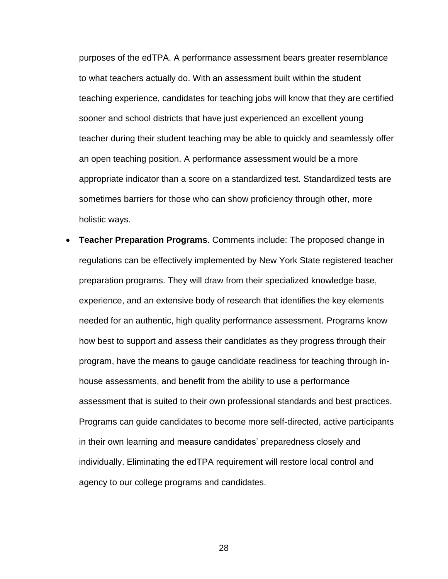purposes of the edTPA. A performance assessment bears greater resemblance to what teachers actually do. With an assessment built within the student teaching experience, candidates for teaching jobs will know that they are certified sooner and school districts that have just experienced an excellent young teacher during their student teaching may be able to quickly and seamlessly offer an open teaching position. A performance assessment would be a more appropriate indicator than a score on a standardized test. Standardized tests are sometimes barriers for those who can show proficiency through other, more holistic ways.

• **Teacher Preparation Programs**. Comments include: The proposed change in regulations can be effectively implemented by New York State registered teacher preparation programs. They will draw from their specialized knowledge base, experience, and an extensive body of research that identifies the key elements needed for an authentic, high quality performance assessment. Programs know how best to support and assess their candidates as they progress through their program, have the means to gauge candidate readiness for teaching through inhouse assessments, and benefit from the ability to use a performance assessment that is suited to their own professional standards and best practices. Programs can guide candidates to become more self-directed, active participants in their own learning and measure candidates' preparedness closely and individually. Eliminating the edTPA requirement will restore local control and agency to our college programs and candidates.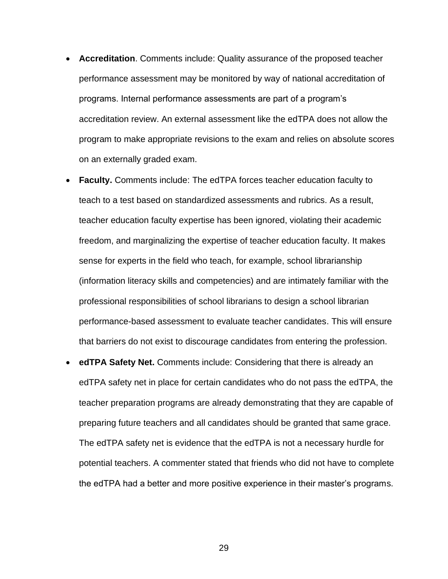- **Accreditation**. Comments include: Quality assurance of the proposed teacher performance assessment may be monitored by way of national accreditation of programs. Internal performance assessments are part of a program's accreditation review. An external assessment like the edTPA does not allow the program to make appropriate revisions to the exam and relies on absolute scores on an externally graded exam.
- **Faculty.** Comments include: The edTPA forces teacher education faculty to teach to a test based on standardized assessments and rubrics. As a result, teacher education faculty expertise has been ignored, violating their academic freedom, and marginalizing the expertise of teacher education faculty. It makes sense for experts in the field who teach, for example, school librarianship (information literacy skills and competencies) and are intimately familiar with the professional responsibilities of school librarians to design a school librarian performance-based assessment to evaluate teacher candidates. This will ensure that barriers do not exist to discourage candidates from entering the profession.
- **edTPA Safety Net.** Comments include: Considering that there is already an edTPA safety net in place for certain candidates who do not pass the edTPA, the teacher preparation programs are already demonstrating that they are capable of preparing future teachers and all candidates should be granted that same grace. The edTPA safety net is evidence that the edTPA is not a necessary hurdle for potential teachers. A commenter stated that friends who did not have to complete the edTPA had a better and more positive experience in their master's programs.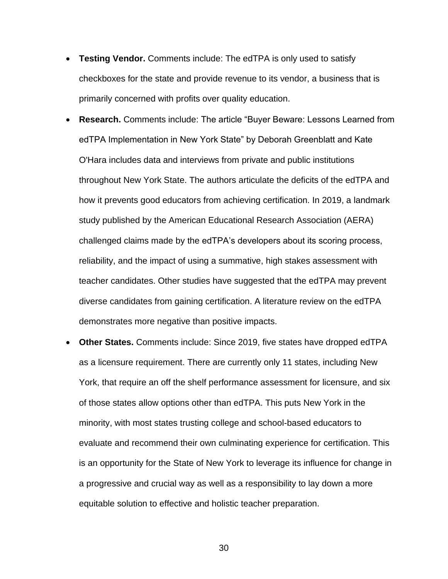- **Testing Vendor.** Comments include: The edTPA is only used to satisfy checkboxes for the state and provide revenue to its vendor, a business that is primarily concerned with profits over quality education.
- **Research.** Comments include: The article "Buyer Beware: Lessons Learned from edTPA Implementation in New York State" by Deborah Greenblatt and Kate O'Hara includes data and interviews from private and public institutions throughout New York State. The authors articulate the deficits of the edTPA and how it prevents good educators from achieving certification. In 2019, a landmark study published by the American Educational Research Association (AERA) challenged claims made by the edTPA's developers about its scoring process, reliability, and the impact of using a summative, high stakes assessment with teacher candidates. Other studies have suggested that the edTPA may prevent diverse candidates from gaining certification. A literature review on the edTPA demonstrates more negative than positive impacts.
- **Other States.** Comments include: Since 2019, five states have dropped edTPA as a licensure requirement. There are currently only 11 states, including New York, that require an off the shelf performance assessment for licensure, and six of those states allow options other than edTPA. This puts New York in the minority, with most states trusting college and school-based educators to evaluate and recommend their own culminating experience for certification. This is an opportunity for the State of New York to leverage its influence for change in a progressive and crucial way as well as a responsibility to lay down a more equitable solution to effective and holistic teacher preparation.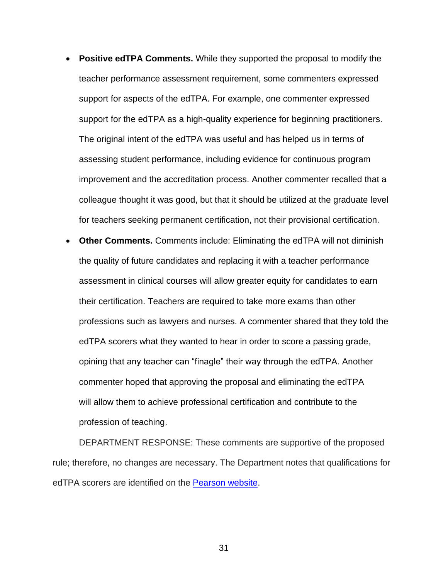- **Positive edTPA Comments.** While they supported the proposal to modify the teacher performance assessment requirement, some commenters expressed support for aspects of the edTPA. For example, one commenter expressed support for the edTPA as a high-quality experience for beginning practitioners. The original intent of the edTPA was useful and has helped us in terms of assessing student performance, including evidence for continuous program improvement and the accreditation process. Another commenter recalled that a colleague thought it was good, but that it should be utilized at the graduate level for teachers seeking permanent certification, not their provisional certification.
- **Other Comments.** Comments include: Eliminating the edTPA will not diminish the quality of future candidates and replacing it with a teacher performance assessment in clinical courses will allow greater equity for candidates to earn their certification. Teachers are required to take more exams than other professions such as lawyers and nurses. A commenter shared that they told the edTPA scorers what they wanted to hear in order to score a passing grade, opining that any teacher can "finagle" their way through the edTPA. Another commenter hoped that approving the proposal and eliminating the edTPA will allow them to achieve professional certification and contribute to the profession of teaching.

DEPARTMENT RESPONSE: These comments are supportive of the proposed rule; therefore, no changes are necessary. The Department notes that qualifications for edTPA scorers are identified on the [Pearson website.](https://survey.vovici.com/se.ashx?s=058F3B57114C8A01)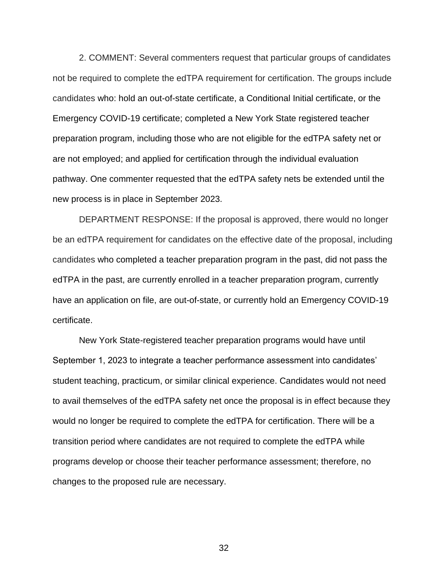2. COMMENT: Several commenters request that particular groups of candidates not be required to complete the edTPA requirement for certification. The groups include candidates who: hold an out-of-state certificate, a Conditional Initial certificate, or the Emergency COVID-19 certificate; completed a New York State registered teacher preparation program, including those who are not eligible for the edTPA safety net or are not employed; and applied for certification through the individual evaluation pathway. One commenter requested that the edTPA safety nets be extended until the new process is in place in September 2023.

DEPARTMENT RESPONSE: If the proposal is approved, there would no longer be an edTPA requirement for candidates on the effective date of the proposal, including candidates who completed a teacher preparation program in the past, did not pass the edTPA in the past, are currently enrolled in a teacher preparation program, currently have an application on file, are out-of-state, or currently hold an Emergency COVID-19 certificate.

New York State-registered teacher preparation programs would have until September 1, 2023 to integrate a teacher performance assessment into candidates' student teaching, practicum, or similar clinical experience. Candidates would not need to avail themselves of the edTPA safety net once the proposal is in effect because they would no longer be required to complete the edTPA for certification. There will be a transition period where candidates are not required to complete the edTPA while programs develop or choose their teacher performance assessment; therefore, no changes to the proposed rule are necessary.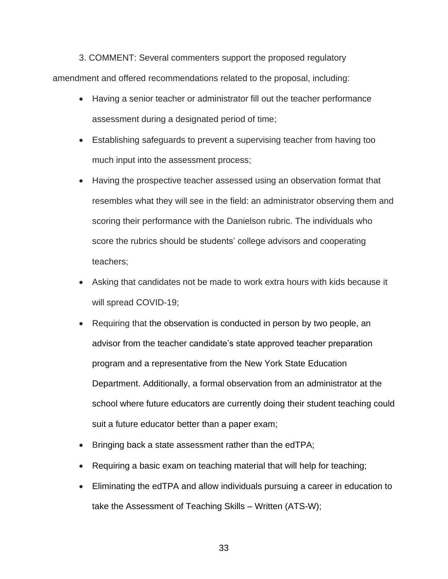3. COMMENT: Several commenters support the proposed regulatory amendment and offered recommendations related to the proposal, including:

- Having a senior teacher or administrator fill out the teacher performance assessment during a designated period of time;
- Establishing safeguards to prevent a supervising teacher from having too much input into the assessment process;
- Having the prospective teacher assessed using an observation format that resembles what they will see in the field: an administrator observing them and scoring their performance with the Danielson rubric. The individuals who score the rubrics should be students' college advisors and cooperating teachers;
- Asking that candidates not be made to work extra hours with kids because it will spread COVID-19;
- Requiring that the observation is conducted in person by two people, an advisor from the teacher candidate's state approved teacher preparation program and a representative from the New York State Education Department. Additionally, a formal observation from an administrator at the school where future educators are currently doing their student teaching could suit a future educator better than a paper exam;
- Bringing back a state assessment rather than the edTPA;
- Requiring a basic exam on teaching material that will help for teaching;
- Eliminating the edTPA and allow individuals pursuing a career in education to take the Assessment of Teaching Skills – Written (ATS-W);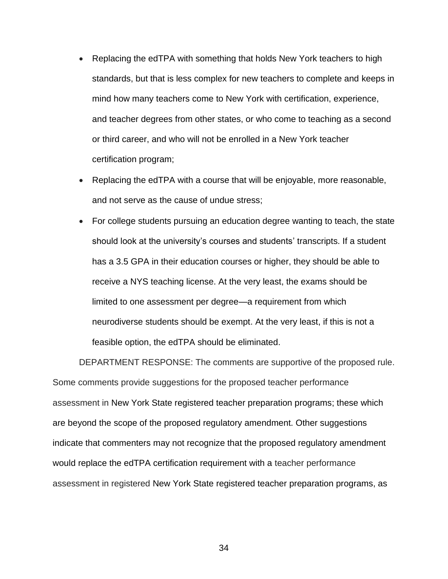- Replacing the edTPA with something that holds New York teachers to high standards, but that is less complex for new teachers to complete and keeps in mind how many teachers come to New York with certification, experience, and teacher degrees from other states, or who come to teaching as a second or third career, and who will not be enrolled in a New York teacher certification program;
- Replacing the edTPA with a course that will be enjoyable, more reasonable, and not serve as the cause of undue stress;
- For college students pursuing an education degree wanting to teach, the state should look at the university's courses and students' transcripts. If a student has a 3.5 GPA in their education courses or higher, they should be able to receive a NYS teaching license. At the very least, the exams should be limited to one assessment per degree—a requirement from which neurodiverse students should be exempt. At the very least, if this is not a feasible option, the edTPA should be eliminated.

DEPARTMENT RESPONSE: The comments are supportive of the proposed rule. Some comments provide suggestions for the proposed teacher performance assessment in New York State registered teacher preparation programs; these which are beyond the scope of the proposed regulatory amendment. Other suggestions indicate that commenters may not recognize that the proposed regulatory amendment would replace the edTPA certification requirement with a teacher performance assessment in registered New York State registered teacher preparation programs, as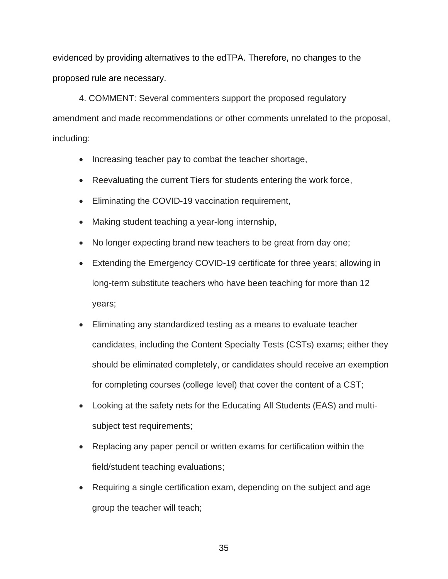evidenced by providing alternatives to the edTPA. Therefore, no changes to the proposed rule are necessary.

4. COMMENT: Several commenters support the proposed regulatory amendment and made recommendations or other comments unrelated to the proposal, including:

- Increasing teacher pay to combat the teacher shortage,
- Reevaluating the current Tiers for students entering the work force,
- Eliminating the COVID-19 vaccination requirement,
- Making student teaching a year-long internship,
- No longer expecting brand new teachers to be great from day one;
- Extending the Emergency COVID-19 certificate for three years; allowing in long-term substitute teachers who have been teaching for more than 12 years;
- Eliminating any standardized testing as a means to evaluate teacher candidates, including the Content Specialty Tests (CSTs) exams; either they should be eliminated completely, or candidates should receive an exemption for completing courses (college level) that cover the content of a CST;
- Looking at the safety nets for the Educating All Students (EAS) and multisubject test requirements;
- Replacing any paper pencil or written exams for certification within the field/student teaching evaluations;
- Requiring a single certification exam, depending on the subject and age group the teacher will teach;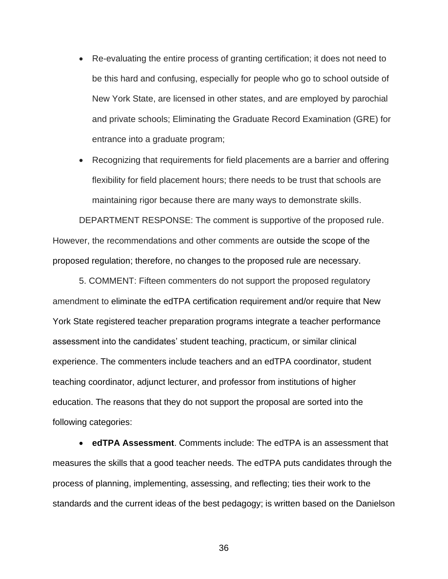- Re-evaluating the entire process of granting certification; it does not need to be this hard and confusing, especially for people who go to school outside of New York State, are licensed in other states, and are employed by parochial and private schools; Eliminating the Graduate Record Examination (GRE) for entrance into a graduate program;
- Recognizing that requirements for field placements are a barrier and offering flexibility for field placement hours; there needs to be trust that schools are maintaining rigor because there are many ways to demonstrate skills.

DEPARTMENT RESPONSE: The comment is supportive of the proposed rule. However, the recommendations and other comments are outside the scope of the proposed regulation; therefore, no changes to the proposed rule are necessary.

5. COMMENT: Fifteen commenters do not support the proposed regulatory amendment to eliminate the edTPA certification requirement and/or require that New York State registered teacher preparation programs integrate a teacher performance assessment into the candidates' student teaching, practicum, or similar clinical experience. The commenters include teachers and an edTPA coordinator, student teaching coordinator, adjunct lecturer, and professor from institutions of higher education. The reasons that they do not support the proposal are sorted into the following categories:

• **edTPA Assessment**. Comments include: The edTPA is an assessment that measures the skills that a good teacher needs. The edTPA puts candidates through the process of planning, implementing, assessing, and reflecting; ties their work to the standards and the current ideas of the best pedagogy; is written based on the Danielson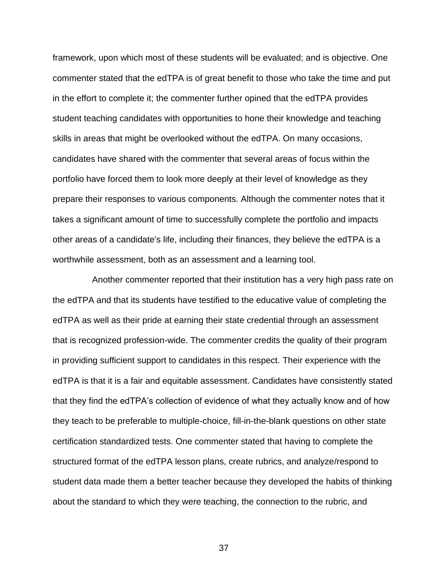framework, upon which most of these students will be evaluated; and is objective. One commenter stated that the edTPA is of great benefit to those who take the time and put in the effort to complete it; the commenter further opined that the edTPA provides student teaching candidates with opportunities to hone their knowledge and teaching skills in areas that might be overlooked without the edTPA. On many occasions, candidates have shared with the commenter that several areas of focus within the portfolio have forced them to look more deeply at their level of knowledge as they prepare their responses to various components. Although the commenter notes that it takes a significant amount of time to successfully complete the portfolio and impacts other areas of a candidate's life, including their finances, they believe the edTPA is a worthwhile assessment, both as an assessment and a learning tool.

Another commenter reported that their institution has a very high pass rate on the edTPA and that its students have testified to the educative value of completing the edTPA as well as their pride at earning their state credential through an assessment that is recognized profession-wide. The commenter credits the quality of their program in providing sufficient support to candidates in this respect. Their experience with the edTPA is that it is a fair and equitable assessment. Candidates have consistently stated that they find the edTPA's collection of evidence of what they actually know and of how they teach to be preferable to multiple-choice, fill-in-the-blank questions on other state certification standardized tests. One commenter stated that having to complete the structured format of the edTPA lesson plans, create rubrics, and analyze/respond to student data made them a better teacher because they developed the habits of thinking about the standard to which they were teaching, the connection to the rubric, and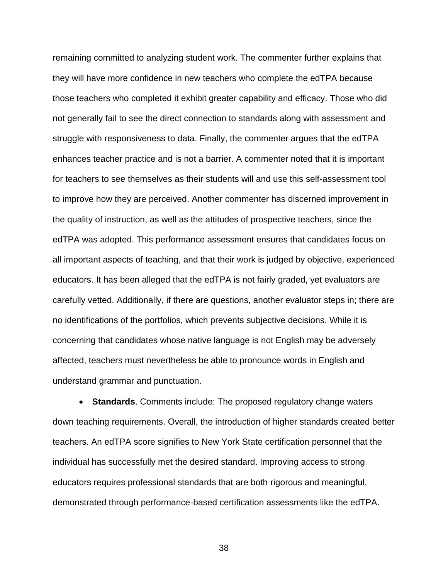remaining committed to analyzing student work. The commenter further explains that they will have more confidence in new teachers who complete the edTPA because those teachers who completed it exhibit greater capability and efficacy. Those who did not generally fail to see the direct connection to standards along with assessment and struggle with responsiveness to data. Finally, the commenter argues that the edTPA enhances teacher practice and is not a barrier. A commenter noted that it is important for teachers to see themselves as their students will and use this self-assessment tool to improve how they are perceived. Another commenter has discerned improvement in the quality of instruction, as well as the attitudes of prospective teachers, since the edTPA was adopted. This performance assessment ensures that candidates focus on all important aspects of teaching, and that their work is judged by objective, experienced educators. It has been alleged that the edTPA is not fairly graded, yet evaluators are carefully vetted. Additionally, if there are questions, another evaluator steps in; there are no identifications of the portfolios, which prevents subjective decisions. While it is concerning that candidates whose native language is not English may be adversely affected, teachers must nevertheless be able to pronounce words in English and understand grammar and punctuation.

• **Standards**. Comments include: The proposed regulatory change waters down teaching requirements. Overall, the introduction of higher standards created better teachers. An edTPA score signifies to New York State certification personnel that the individual has successfully met the desired standard. Improving access to strong educators requires professional standards that are both rigorous and meaningful, demonstrated through performance-based certification assessments like the edTPA.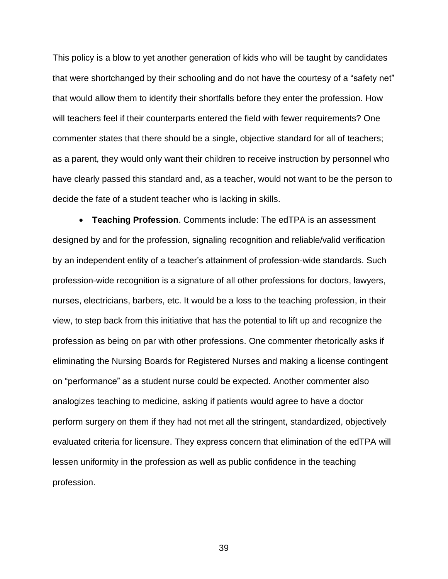This policy is a blow to yet another generation of kids who will be taught by candidates that were shortchanged by their schooling and do not have the courtesy of a "safety net" that would allow them to identify their shortfalls before they enter the profession. How will teachers feel if their counterparts entered the field with fewer requirements? One commenter states that there should be a single, objective standard for all of teachers; as a parent, they would only want their children to receive instruction by personnel who have clearly passed this standard and, as a teacher, would not want to be the person to decide the fate of a student teacher who is lacking in skills.

• **Teaching Profession**. Comments include: The edTPA is an assessment designed by and for the profession, signaling recognition and reliable/valid verification by an independent entity of a teacher's attainment of profession-wide standards. Such profession-wide recognition is a signature of all other professions for doctors, lawyers, nurses, electricians, barbers, etc. It would be a loss to the teaching profession, in their view, to step back from this initiative that has the potential to lift up and recognize the profession as being on par with other professions. One commenter rhetorically asks if eliminating the Nursing Boards for Registered Nurses and making a license contingent on "performance" as a student nurse could be expected. Another commenter also analogizes teaching to medicine, asking if patients would agree to have a doctor perform surgery on them if they had not met all the stringent, standardized, objectively evaluated criteria for licensure. They express concern that elimination of the edTPA will lessen uniformity in the profession as well as public confidence in the teaching profession.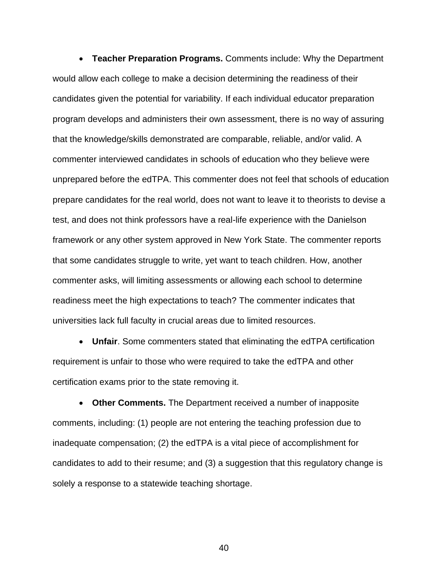• **Teacher Preparation Programs.** Comments include: Why the Department would allow each college to make a decision determining the readiness of their candidates given the potential for variability. If each individual educator preparation program develops and administers their own assessment, there is no way of assuring that the knowledge/skills demonstrated are comparable, reliable, and/or valid. A commenter interviewed candidates in schools of education who they believe were unprepared before the edTPA. This commenter does not feel that schools of education prepare candidates for the real world, does not want to leave it to theorists to devise a test, and does not think professors have a real-life experience with the Danielson framework or any other system approved in New York State. The commenter reports that some candidates struggle to write, yet want to teach children. How, another commenter asks, will limiting assessments or allowing each school to determine readiness meet the high expectations to teach? The commenter indicates that universities lack full faculty in crucial areas due to limited resources.

• **Unfair**. Some commenters stated that eliminating the edTPA certification requirement is unfair to those who were required to take the edTPA and other certification exams prior to the state removing it.

• **Other Comments.** The Department received a number of inapposite comments, including: (1) people are not entering the teaching profession due to inadequate compensation; (2) the edTPA is a vital piece of accomplishment for candidates to add to their resume; and (3) a suggestion that this regulatory change is solely a response to a statewide teaching shortage.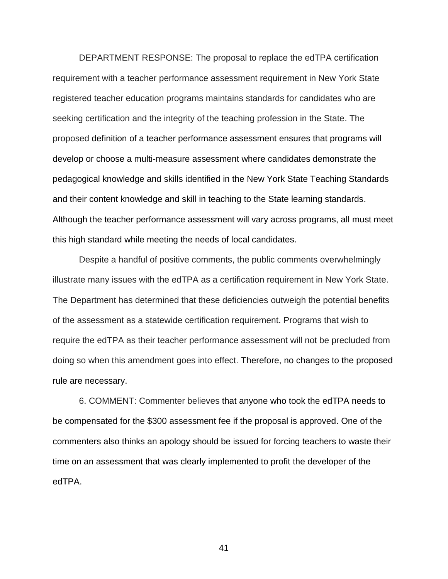DEPARTMENT RESPONSE: The proposal to replace the edTPA certification requirement with a teacher performance assessment requirement in New York State registered teacher education programs maintains standards for candidates who are seeking certification and the integrity of the teaching profession in the State. The proposed definition of a teacher performance assessment ensures that programs will develop or choose a multi-measure assessment where candidates demonstrate the pedagogical knowledge and skills identified in the New York State Teaching Standards and their content knowledge and skill in teaching to the State learning standards. Although the teacher performance assessment will vary across programs, all must meet this high standard while meeting the needs of local candidates.

Despite a handful of positive comments, the public comments overwhelmingly illustrate many issues with the edTPA as a certification requirement in New York State. The Department has determined that these deficiencies outweigh the potential benefits of the assessment as a statewide certification requirement. Programs that wish to require the edTPA as their teacher performance assessment will not be precluded from doing so when this amendment goes into effect. Therefore, no changes to the proposed rule are necessary.

6. COMMENT: Commenter believes that anyone who took the edTPA needs to be compensated for the \$300 assessment fee if the proposal is approved. One of the commenters also thinks an apology should be issued for forcing teachers to waste their time on an assessment that was clearly implemented to profit the developer of the edTPA.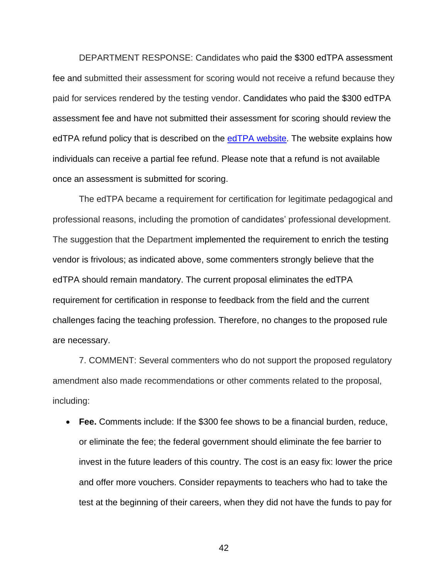DEPARTMENT RESPONSE: Candidates who paid the \$300 edTPA assessment fee and submitted their assessment for scoring would not receive a refund because they paid for services rendered by the testing vendor. Candidates who paid the \$300 edTPA assessment fee and have not submitted their assessment for scoring should review the edTPA refund policy that is described on the [edTPA website.](http://www.edtpa.com/PageView.aspx?f=GEN_CandidatePolicies.html) The website explains how individuals can receive a partial fee refund. Please note that a refund is not available once an assessment is submitted for scoring.

The edTPA became a requirement for certification for legitimate pedagogical and professional reasons, including the promotion of candidates' professional development. The suggestion that the Department implemented the requirement to enrich the testing vendor is frivolous; as indicated above, some commenters strongly believe that the edTPA should remain mandatory. The current proposal eliminates the edTPA requirement for certification in response to feedback from the field and the current challenges facing the teaching profession. Therefore, no changes to the proposed rule are necessary.

7. COMMENT: Several commenters who do not support the proposed regulatory amendment also made recommendations or other comments related to the proposal, including:

• **Fee.** Comments include: If the \$300 fee shows to be a financial burden, reduce, or eliminate the fee; the federal government should eliminate the fee barrier to invest in the future leaders of this country. The cost is an easy fix: lower the price and offer more vouchers. Consider repayments to teachers who had to take the test at the beginning of their careers, when they did not have the funds to pay for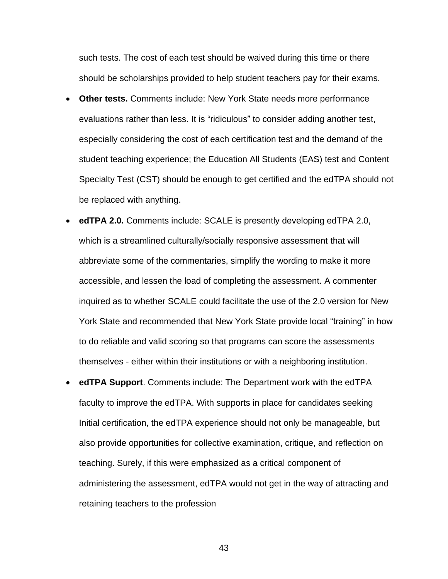such tests. The cost of each test should be waived during this time or there should be scholarships provided to help student teachers pay for their exams.

- **Other tests.** Comments include: New York State needs more performance evaluations rather than less. It is "ridiculous" to consider adding another test, especially considering the cost of each certification test and the demand of the student teaching experience; the Education All Students (EAS) test and Content Specialty Test (CST) should be enough to get certified and the edTPA should not be replaced with anything.
- **edTPA 2.0.** Comments include: SCALE is presently developing edTPA 2.0, which is a streamlined culturally/socially responsive assessment that will abbreviate some of the commentaries, simplify the wording to make it more accessible, and lessen the load of completing the assessment. A commenter inquired as to whether SCALE could facilitate the use of the 2.0 version for New York State and recommended that New York State provide local "training" in how to do reliable and valid scoring so that programs can score the assessments themselves - either within their institutions or with a neighboring institution.
- **edTPA Support**. Comments include: The Department work with the edTPA faculty to improve the edTPA. With supports in place for candidates seeking Initial certification, the edTPA experience should not only be manageable, but also provide opportunities for collective examination, critique, and reflection on teaching. Surely, if this were emphasized as a critical component of administering the assessment, edTPA would not get in the way of attracting and retaining teachers to the profession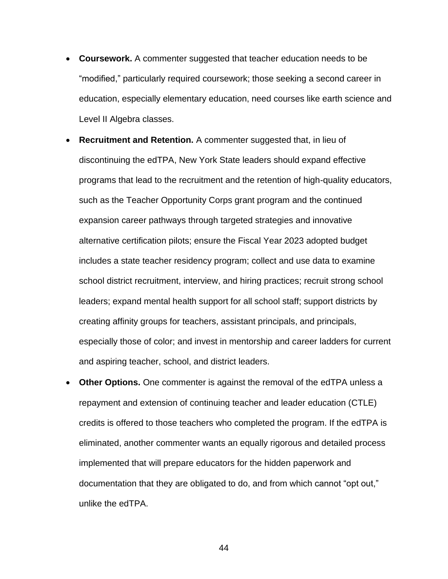- **Coursework.** A commenter suggested that teacher education needs to be "modified," particularly required coursework; those seeking a second career in education, especially elementary education, need courses like earth science and Level II Algebra classes.
- **Recruitment and Retention.** A commenter suggested that, in lieu of discontinuing the edTPA, New York State leaders should expand effective programs that lead to the recruitment and the retention of high-quality educators, such as the Teacher Opportunity Corps grant program and the continued expansion career pathways through targeted strategies and innovative alternative certification pilots; ensure the Fiscal Year 2023 adopted budget includes a state teacher residency program; collect and use data to examine school district recruitment, interview, and hiring practices; recruit strong school leaders; expand mental health support for all school staff; support districts by creating affinity groups for teachers, assistant principals, and principals, especially those of color; and invest in mentorship and career ladders for current and aspiring teacher, school, and district leaders.
- **Other Options.** One commenter is against the removal of the edTPA unless a repayment and extension of continuing teacher and leader education (CTLE) credits is offered to those teachers who completed the program. If the edTPA is eliminated, another commenter wants an equally rigorous and detailed process implemented that will prepare educators for the hidden paperwork and documentation that they are obligated to do, and from which cannot "opt out," unlike the edTPA.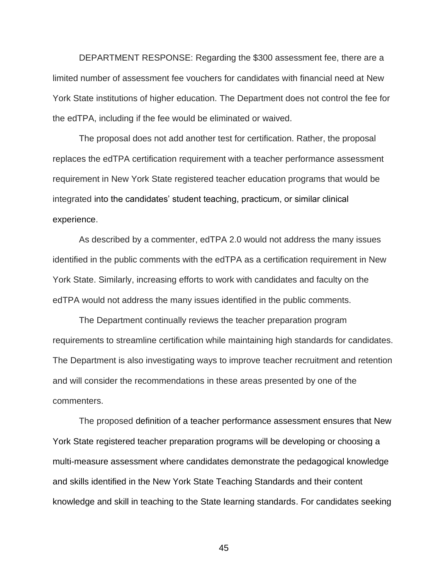DEPARTMENT RESPONSE: Regarding the \$300 assessment fee, there are a limited number of assessment fee vouchers for candidates with financial need at New York State institutions of higher education. The Department does not control the fee for the edTPA, including if the fee would be eliminated or waived.

The proposal does not add another test for certification. Rather, the proposal replaces the edTPA certification requirement with a teacher performance assessment requirement in New York State registered teacher education programs that would be integrated into the candidates' student teaching, practicum, or similar clinical experience.

As described by a commenter, edTPA 2.0 would not address the many issues identified in the public comments with the edTPA as a certification requirement in New York State. Similarly, increasing efforts to work with candidates and faculty on the edTPA would not address the many issues identified in the public comments.

The Department continually reviews the teacher preparation program requirements to streamline certification while maintaining high standards for candidates. The Department is also investigating ways to improve teacher recruitment and retention and will consider the recommendations in these areas presented by one of the commenters.

The proposed definition of a teacher performance assessment ensures that New York State registered teacher preparation programs will be developing or choosing a multi-measure assessment where candidates demonstrate the pedagogical knowledge and skills identified in the New York State Teaching Standards and their content knowledge and skill in teaching to the State learning standards. For candidates seeking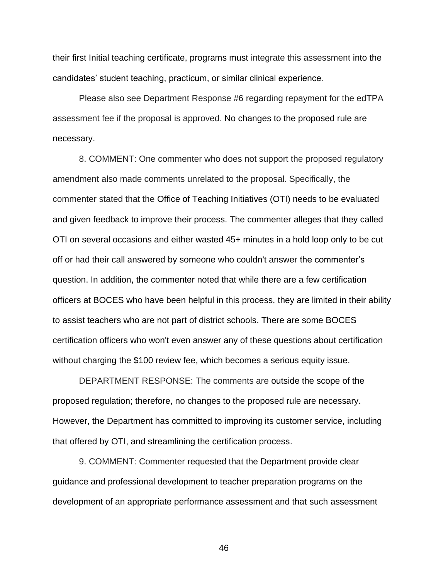their first Initial teaching certificate, programs must integrate this assessment into the candidates' student teaching, practicum, or similar clinical experience.

Please also see Department Response #6 regarding repayment for the edTPA assessment fee if the proposal is approved. No changes to the proposed rule are necessary.

8. COMMENT: One commenter who does not support the proposed regulatory amendment also made comments unrelated to the proposal. Specifically, the commenter stated that the Office of Teaching Initiatives (OTI) needs to be evaluated and given feedback to improve their process. The commenter alleges that they called OTI on several occasions and either wasted 45+ minutes in a hold loop only to be cut off or had their call answered by someone who couldn't answer the commenter's question. In addition, the commenter noted that while there are a few certification officers at BOCES who have been helpful in this process, they are limited in their ability to assist teachers who are not part of district schools. There are some BOCES certification officers who won't even answer any of these questions about certification without charging the \$100 review fee, which becomes a serious equity issue.

DEPARTMENT RESPONSE: The comments are outside the scope of the proposed regulation; therefore, no changes to the proposed rule are necessary. However, the Department has committed to improving its customer service, including that offered by OTI, and streamlining the certification process.

9. COMMENT: Commenter requested that the Department provide clear guidance and professional development to teacher preparation programs on the development of an appropriate performance assessment and that such assessment